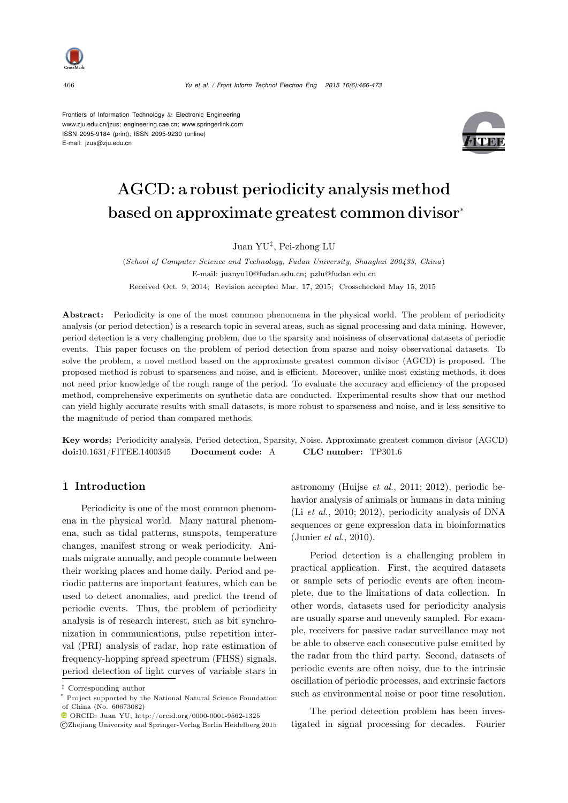

Frontiers of Information Technology & Electronic Engineering www.zju.edu.cn/jzus; engineering.cae.cn; www.springerlink.com ISSN 2095-9184 (print); ISSN 2095-9230 (online) E-mail: jzus@zju.edu.cn



# AGCD: a robust periodicity analysis method based on approximate greatest common divisor<sup>∗</sup>

Juan YU‡, Pei-zhong LU

(*School of Computer Science and Technology, Fudan University, Shanghai 200433, China*) E-mail: juanyu10@fudan.edu.cn; pzlu@fudan.edu.cn Received Oct. 9, 2014; Revision accepted Mar. 17, 2015; Crosschecked May 15, 2015

Abstract: Periodicity is one of the most common phenomena in the physical world. The problem of periodicity analysis (or period detection) is a research topic in several areas, such as signal processing and data mining. However, period detection is a very challenging problem, due to the sparsity and noisiness of observational datasets of periodic events. This paper focuses on the problem of period detection from sparse and noisy observational datasets. To solve the problem, a novel method based on the approximate greatest common divisor (AGCD) is proposed. The proposed method is robust to sparseness and noise, and is efficient. Moreover, unlike most existing methods, it does not need prior knowledge of the rough range of the period. To evaluate the accuracy and efficiency of the proposed method, comprehensive experiments on synthetic data are conducted. Experimental results show that our method can yield highly accurate results with small datasets, is more robust to sparseness and noise, and is less sensitive to the magnitude of period than compared methods.

Key words: Periodicity analysis, Period detection, Sparsity, Noise, Approximate greatest common divisor (AGCD) doi:10.1631/FITEE.1400345 Document code: A CLC number: TP301.6

# 1 Introduction

Periodicity is one of the most common phenomena in the physical world. Many natural phenomena, such as tidal patterns, sunspots, temperature changes, manifest strong or weak periodicity. Animals migrate annually, and people commute between their working places and home daily. Period and periodic patterns are important features, which can be used to detect anomalies, and predict the trend of periodic events. Thus, the problem of periodicity analysis is of research interest, such as bit synchronization in communications, pulse repetition interval (PRI) analysis of radar, hop rate estimation of frequency-hopping spread spectrum (FHSS) signals, period detection of light curves of variable stars in astronomy [\(Huijse](#page-7-0) *et al.*, [2011;](#page-7-0) [2012\)](#page-7-1), periodic behavior analysis of animals or humans in data mining (Li *[et al.](#page-7-2)*, [2010;](#page-7-2) [2012](#page-7-3)), periodicity analysis of DNA sequences or gene expression data in bioinformatics [\(Junier](#page-7-4) *et al.*, [2010\)](#page-7-4).

Period detection is a challenging problem in practical application. First, the acquired datasets or sample sets of periodic events are often incomplete, due to the limitations of data collection. In other words, datasets used for periodicity analysis are usually sparse and unevenly sampled. For example, receivers for passive radar surveillance may not be able to observe each consecutive pulse emitted by the radar from the third party. Second, datasets of periodic events are often noisy, due to the intrinsic oscillation of periodic processes, and extrinsic factors such as environmental noise or poor time resolution.

The period detection problem has been investigated in signal processing for decades. Fourier

<sup>‡</sup> Corresponding author

Project supported by the National Natural Science Foundation of China (No. 60673082)

ORCID: Juan YU, http://orcid.org/0000-0001-9562-1325

c Zhejiang University and Springer-Verlag Berlin Heidelberg 2015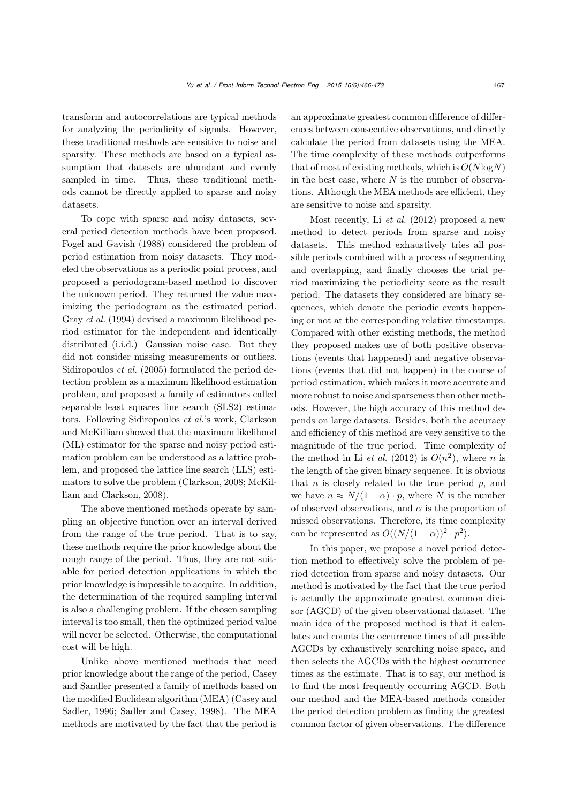transform and autocorrelations are typical methods for analyzing the periodicity of signals. However, these traditional methods are sensitive to noise and sparsity. These methods are based on a typical assumption that datasets are abundant and evenly sampled in time. Thus, these traditional methods cannot be directly applied to sparse and noisy datasets.

To cope with sparse and noisy datasets, several period detection methods have been proposed. [Fogel and Gavish](#page-7-5) [\(1988](#page-7-5)) considered the problem of period estimation from noisy datasets. They modeled the observations as a periodic point process, and proposed a periodogram-based method to discover the unknown period. They returned the value maximizing the periodogram as the estimated period. [Gray](#page-7-6) *et al.* [\(1994\)](#page-7-6) devised a maximum likelihood period estimator for the independent and identically distributed (i.i.d.) Gaussian noise case. But they did not consider missing measurements or outliers. [Sidiropoulos](#page-7-7) *et al.* [\(2005](#page-7-7)) formulated the period detection problem as a maximum likelihood estimation problem, and proposed a family of estimators called separable least squares line search (SLS2) estimators. Following Sidiropoulos *et al.*'s work, Clarkson and McKilliam showed that the maximum likelihood (ML) estimator for the sparse and noisy period estimation problem can be understood as a lattice problem, and proposed the lattice line search (LLS) estimators to solve th[e](#page-7-9) [problem](#page-7-9) [\(Clarkson](#page-7-8)[,](#page-7-9) [2008](#page-7-8)[;](#page-7-9) McKilliam and Clarkson, [2008\)](#page-7-9).

The above mentioned methods operate by sampling an objective function over an interval derived from the range of the true period. That is to say, these methods require the prior knowledge about the rough range of the period. Thus, they are not suitable for period detection applications in which the prior knowledge is impossible to acquire. In addition, the determination of the required sampling interval is also a challenging problem. If the chosen sampling interval is too small, then the optimized period value will never be selected. Otherwise, the computational cost will be high.

Unlike above mentioned methods that need prior knowledge about the range of the period, Casey and Sandler presented a family of methods based on the m[odified](#page-7-10) [Euclidean](#page-7-10) [algorithm](#page-7-10) [\(MEA\)](#page-7-10) [\(](#page-7-10)Casey and Sadler, [1996;](#page-7-10) [Sadler and Casey](#page-7-11), [1998](#page-7-11)). The MEA methods are motivated by the fact that the period is an approximate greatest common difference of differences between consecutive observations, and directly calculate the period from datasets using the MEA. The time complexity of these methods outperforms that of most of existing methods, which is  $O(N \log N)$ in the best case, where  $N$  is the number of observations. Although the MEA methods are efficient, they are sensitive to noise and sparsity.

Most recently, Li *[et al.](#page-7-3)* [\(2012\)](#page-7-3) proposed a new method to detect periods from sparse and noisy datasets. This method exhaustively tries all possible periods combined with a process of segmenting and overlapping, and finally chooses the trial period maximizing the periodicity score as the result period. The datasets they considered are binary sequences, which denote the periodic events happening or not at the corresponding relative timestamps. Compared with other existing methods, the method they proposed makes use of both positive observations (events that happened) and negative observations (events that did not happen) in the course of period estimation, which makes it more accurate and more robust to noise and sparseness than other methods. However, the high accuracy of this method depends on large datasets. Besides, both the accuracy and efficiency of this method are very sensitive to the magnitude of the true period. Time complexity of the method in Li *[et al.](#page-7-3)* [\(2012](#page-7-3)) is  $O(n^2)$ , where *n* is the length of the given binary sequence. It is obvious that  $n$  is closely related to the true period  $p$ , and we have  $n \approx N/(1-\alpha) \cdot p$ , where N is the number of observed observations, and  $\alpha$  is the proportion of missed observations. Therefore, its time complexity can be represented as  $O((N/(1 - \alpha))^2 \cdot p^2)$ .

In this paper, we propose a novel period detection method to effectively solve the problem of period detection from sparse and noisy datasets. Our method is motivated by the fact that the true period is actually the approximate greatest common divisor (AGCD) of the given observational dataset. The main idea of the proposed method is that it calculates and counts the occurrence times of all possible AGCDs by exhaustively searching noise space, and then selects the AGCDs with the highest occurrence times as the estimate. That is to say, our method is to find the most frequently occurring AGCD. Both our method and the MEA-based methods consider the period detection problem as finding the greatest common factor of given observations. The difference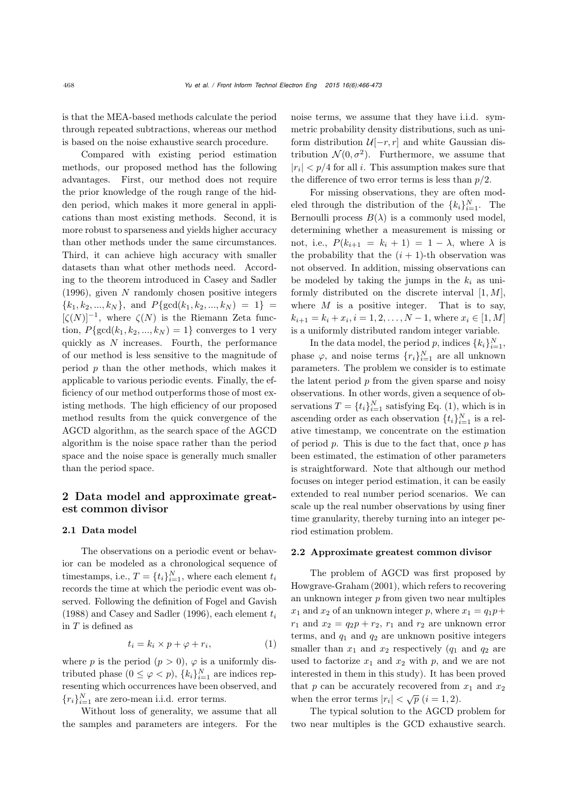is that the MEA-based methods calculate the period through repeated subtractions, whereas our method is based on the noise exhaustive search procedure.

Compared with existing period estimation methods, our proposed method has the following advantages. First, our method does not require the prior knowledge of the rough range of the hidden period, which makes it more general in applications than most existing methods. Second, it is more robust to sparseness and yields higher accuracy than other methods under the same circumstances. Third, it can achieve high accuracy with smaller datasets than what other methods need. According to the theorem introduced in [Casey and Sadler](#page-7-10)  $(1996)$  $(1996)$ , given N randomly chosen positive integers  ${k_1, k_2, ..., k_N}, \text{ and } P\{\text{gcd}(k_1, k_2, ..., k_N) = 1\}$  $[\zeta(N)]^{-1}$ , where  $\zeta(N)$  is the Riemann Zeta function,  $P\{\gcd(k_1, k_2, ..., k_N)\}$  = 1} converges to 1 very quickly as N increases. Fourth, the performance of our method is less sensitive to the magnitude of period  $p$  than the other methods, which makes it applicable to various periodic events. Finally, the efficiency of our method outperforms those of most existing methods. The high efficiency of our proposed method results from the quick convergence of the AGCD algorithm, as the search space of the AGCD algorithm is the noise space rather than the period space and the noise space is generally much smaller than the period space.

# 2 Data model and approximate greatest common divisor

## 2.1 Data model

The observations on a periodic event or behavior can be modeled as a chronological sequence of timestamps, i.e.,  $T = \{t_i\}_{i=1}^N$ , where each element  $t_i$ records the time at which the periodic event was observed. Following the definition of [Fogel and Gavish](#page-7-5) [\(1988](#page-7-5)) and [Casey and Sadler](#page-7-10) [\(1996\)](#page-7-10), each element t*<sup>i</sup>* in  $T$  is defined as

<span id="page-2-0"></span>
$$
t_i = k_i \times p + \varphi + r_i, \tag{1}
$$

where p is the period  $(p > 0)$ ,  $\varphi$  is a uniformly distributed phase  $(0 \le \varphi \le p)$ ,  $\{k_i\}_{i=1}^N$  are indices representing which occurrences have been observed, and  $\{r_i\}_{i=1}^N$  are zero-mean i.i.d. error terms.

Without loss of generality, we assume that all the samples and parameters are integers. For the noise terms, we assume that they have i.i.d. symmetric probability density distributions, such as uniform distribution  $\mathcal{U}[-r, r]$  and white Gaussian distribution  $\mathcal{N}(0, \sigma^2)$ . Furthermore, we assume that  $|r_i| < p/4$  for all i. This assumption makes sure that the difference of two error terms is less than  $p/2$ .

For missing observations, they are often modeled through the distribution of the  ${k_i}_{i=1}^N$ . The Bernoulli process  $B(\lambda)$  is a commonly used model, determining whether a measurement is missing or not, i.e.,  $P(k_{i+1} = k_i + 1) = 1 - \lambda$ , where  $\lambda$  is the probability that the  $(i + 1)$ -th observation was not observed. In addition, missing observations can be modeled by taking the jumps in the  $k_i$  as uniformly distributed on the discrete interval  $[1, M]$ , where  $M$  is a positive integer. That is to say,  $k_{i+1} = k_i + x_i, i = 1, 2, \ldots, N-1$ , where  $x_i \in [1, M]$ is a uniformly distributed random integer variable.

In the data model, the period p, indices  ${k_i}_{i=1}^N$ , phase  $\varphi$ , and noise terms  $\{r_i\}_{i=1}^N$  are all unknown parameters. The problem we consider is to estimate the latent period  $p$  from the given sparse and noisy observations. In other words, given a sequence of observations  $T = \{t_i\}_{i=1}^N$  satisfying Eq. [\(1\)](#page-2-0), which is in ascending order as each observation  $\{t_i\}_{i=1}^N$  is a relative timestamp, we concentrate on the estimation of period  $p$ . This is due to the fact that, once  $p$  has been estimated, the estimation of other parameters is straightforward. Note that although our method focuses on integer period estimation, it can be easily extended to real number period scenarios. We can scale up the real number observations by using finer time granularity, thereby turning into an integer period estimation problem.

#### 2.2 Approximate greatest common divisor

The problem of AGCD was first proposed by [Howgrave-Graham](#page-7-12) [\(2001\)](#page-7-12), which refers to recovering an unknown integer  $p$  from given two near multiples  $x_1$  and  $x_2$  of an unknown integer p, where  $x_1 = q_1p + q_2$  $r_1$  and  $x_2 = q_2p + r_2$ ,  $r_1$  and  $r_2$  are unknown error terms, and  $q_1$  and  $q_2$  are unknown positive integers smaller than  $x_1$  and  $x_2$  respectively  $(q_1$  and  $q_2$  are used to factorize  $x_1$  and  $x_2$  with p, and we are not interested in them in this study). It has been proved that p can be accurately recovered from  $x_1$  and  $x_2$ when the error terms  $|r_i| < \sqrt{p}$  (*i* = 1, 2).

The typical solution to the AGCD problem for two near multiples is the GCD exhaustive search.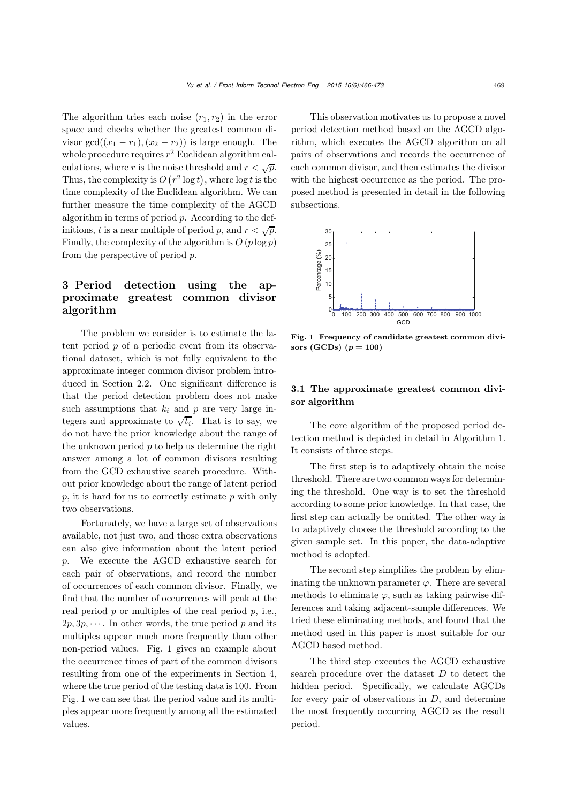The algorithm tries each noise  $(r_1, r_2)$  in the error space and checks whether the greatest common divisor gcd( $(x_1 - r_1)$ ,  $(x_2 - r_2)$ ) is large enough. The whole procedure requires  $r^2$  Euclidean algorithm calculations, where r is the noise threshold and  $r < \sqrt{p}$ . Thus, the complexity is  $O(r^2 \log t)$ , where  $\log t$  is the time complexity of the Euclidean algorithm. We can further measure the time complexity of the AGCD algorithm in terms of period  $p$ . According to the definitions, t is a near multiple of period p, and  $r < \sqrt{p}$ . Finally, the complexity of the algorithm is  $O(p \log p)$ from the perspective of period  $p$ .

# 3 Period detection using the approximate greatest common divisor algorithm

The problem we consider is to estimate the latent period  $p$  of a periodic event from its observational dataset, which is not fully equivalent to the approximate integer common divisor problem introduced in Section 2.2. One significant difference is that the period detection problem does not make such assumptions that  $k_i$  and  $p$  are very large integers and approximate to  $\sqrt{t_i}$ . That is to say, we do not have the prior knowledge about the range of the unknown period  $p$  to help us determine the right answer among a lot of common divisors resulting from the GCD exhaustive search procedure. Without prior knowledge about the range of latent period  $p$ , it is hard for us to correctly estimate  $p$  with only two observations.

Fortunately, we have a large set of observations available, not just two, and those extra observations can also give information about the latent period p. We execute the AGCD exhaustive search for each pair of observations, and record the number of occurrences of each common divisor. Finally, we find that the number of occurrences will peak at the real period  $p$  or multiples of the real period  $p$ , i.e.,  $2p, 3p, \dots$ . In other words, the true period p and its multiples appear much more frequently than other non-period values. Fig. [1](#page-3-0) gives an example about the occurrence times of part of the common divisors resulting from one of the experiments in Section 4, where the true period of the testing data is 100. From Fig. [1](#page-3-0) we can see that the period value and its multiples appear more frequently among all the estimated values.

This observation motivates us to propose a novel period detection method based on the AGCD algorithm, which executes the AGCD algorithm on all pairs of observations and records the occurrence of each common divisor, and then estimates the divisor with the highest occurrence as the period. The proposed method is presented in detail in the following subsections.



<span id="page-3-0"></span>Fig. 1 Frequency of candidate greatest common divisors (GCDs)  $(p = 100)$ 

# 3.1 The approximate greatest common divisor algorithm

The core algorithm of the proposed period detection method is depicted in detail in Algorithm [1.](#page-4-0) It consists of three steps.

The first step is to adaptively obtain the noise threshold. There are two common ways for determining the threshold. One way is to set the threshold according to some prior knowledge. In that case, the first step can actually be omitted. The other way is to adaptively choose the threshold according to the given sample set. In this paper, the data-adaptive method is adopted.

The second step simplifies the problem by eliminating the unknown parameter  $\varphi$ . There are several methods to eliminate  $\varphi$ , such as taking pairwise differences and taking adjacent-sample differences. We tried these eliminating methods, and found that the method used in this paper is most suitable for our AGCD based method.

The third step executes the AGCD exhaustive search procedure over the dataset D to detect the hidden period. Specifically, we calculate AGCDs for every pair of observations in  $D$ , and determine the most frequently occurring AGCD as the result period.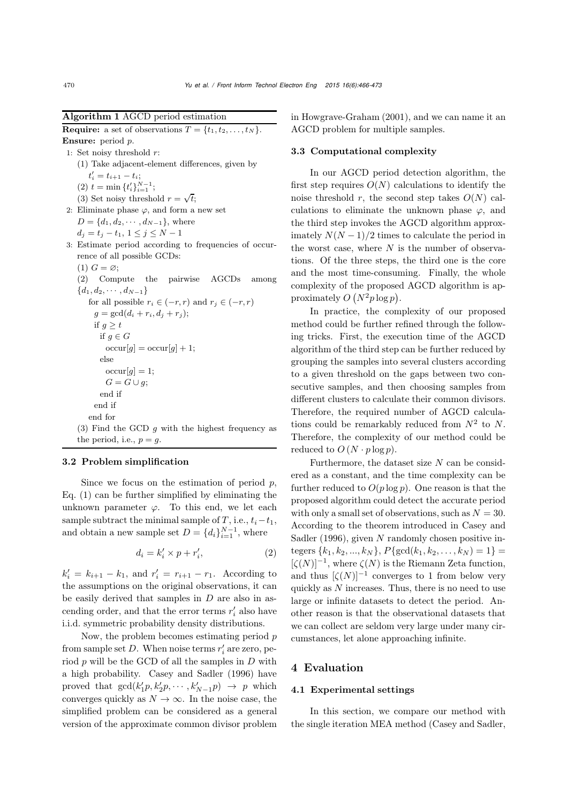<span id="page-4-0"></span>Algorithm 1 AGCD period estimation

**Require:** a set of observations  $T = \{t_1, t_2, \ldots, t_N\}.$ Ensure: period p.

1: Set noisy threshold  $r$ : (1) Take adjacent-element differences, given by  $t'_{i} = t_{i+1} - t_{i};$ (2)  $t = \min\{t'_i\}_{i=1}^{N-1};$ (3) Set noisy threshold  $r = \sqrt{t}$ ; 2: Eliminate phase  $\varphi$ , and form a new set  $D = \{d_1, d_2, \cdots, d_{N-1}\}\$ , where  $d_j = t_j - t_1, \ 1 \leq j \leq N - 1$ 3: Estimate period according to frequencies of occurrence of all possible GCDs:  $(1)$   $G = \emptyset$ ; (2) Compute the pairwise AGCDs among  ${d_1, d_2, \cdots, d_{N-1}}$ for all possible  $r_i \in (-r, r)$  and  $r_i \in (-r, r)$  $g = \gcd(d_i + r_i, d_j + r_j);$ if  $g \geq t$ if  $q \in G$  $\operatorname{occur}[g] = \operatorname{occur}[g] + 1;$ else  $occur[q]=1;$  $G = G \cup q$ ; end if

end if end for

(3) Find the GCD  $g$  with the highest frequency as the period, i.e.,  $p = g$ .

#### 3.2 Problem simplification

Since we focus on the estimation of period  $p$ , Eq. [\(1\)](#page-2-0) can be further simplified by eliminating the unknown parameter  $\varphi$ . To this end, we let each sample subtract the minimal sample of  $T$ , i.e.,  $t_i-t_1$ , and obtain a new sample set  $D = \{d_i\}_{i=1}^{N-1}$ , where

$$
d_i = k'_i \times p + r'_i,\tag{2}
$$

 $k'_{i} = k_{i+1} - k_{1}$ , and  $r'_{i} = r_{i+1} - r_{1}$ . According to the assumptions on the original observations, it can be easily derived that samples in  $D$  are also in ascending order, and that the error terms  $r_i^\prime$  also have i.i.d. symmetric probability density distributions.

Now, the problem becomes estimating period  $p$ from sample set  $D$ . When noise terms  $r_i'$  are zero, period  $p$  will be the GCD of all the samples in  $D$  with a high probability. [Casey and Sadler](#page-7-10) [\(1996](#page-7-10)) have proved that  $gcd(k'_1p, k'_2p, \dots, k'_{N-1}p) \rightarrow p$  which converges quickly as  $N \to \infty$ . In the noise case, the simplified problem can be considered as a general version of the approximate common divisor problem

in [Howgrave-Graham](#page-7-12) [\(2001](#page-7-12)), and we can name it an AGCD problem for multiple samples.

### 3.3 Computational complexity

In our AGCD period detection algorithm, the first step requires  $O(N)$  calculations to identify the noise threshold r, the second step takes  $O(N)$  calculations to eliminate the unknown phase  $\varphi$ , and the third step invokes the AGCD algorithm approximately  $N(N-1)/2$  times to calculate the period in the worst case, where  $N$  is the number of observations. Of the three steps, the third one is the core and the most time-consuming. Finally, the whole complexity of the proposed AGCD algorithm is approximately  $O(N^2p \log p)$ .

In practice, the complexity of our proposed method could be further refined through the following tricks. First, the execution time of the AGCD algorithm of the third step can be further reduced by grouping the samples into several clusters according to a given threshold on the gaps between two consecutive samples, and then choosing samples from different clusters to calculate their common divisors. Therefore, the required number of AGCD calculations could be remarkably reduced from  $N^2$  to N. Therefore, the complexity of our method could be reduced to  $O(N \cdot p \log p)$ .

Furthermore, the dataset size  $N$  can be considered as a constant, and the time complexity can be further reduced to  $O(p \log p)$ . One reason is that the proposed algorithm could detect the accurate period with only a small set of observations, such as  $N = 30$ . According to the theorem introduced in Casey and Sadler [\(1996](#page-7-10)), given  $N$  randomly chosen positive integers  $\{k_1, k_2, ..., k_N\}, P\{\gcd(k_1, k_2, ..., k_N)\} = 1$ }  $[\zeta(N)]^{-1}$ , where  $\zeta(N)$  is the Riemann Zeta function, and thus  $[\zeta(N)]^{-1}$  converges to 1 from below very quickly as  $N$  increases. Thus, there is no need to use large or infinite datasets to detect the period. Another reason is that the observational datasets that we can collect are seldom very large under many circumstances, let alone approaching infinite.

## 4 Evaluation

#### 4.1 Experimental settings

In this section, we compare our method with the single iteration MEA method [\(Casey and Sadler](#page-7-10),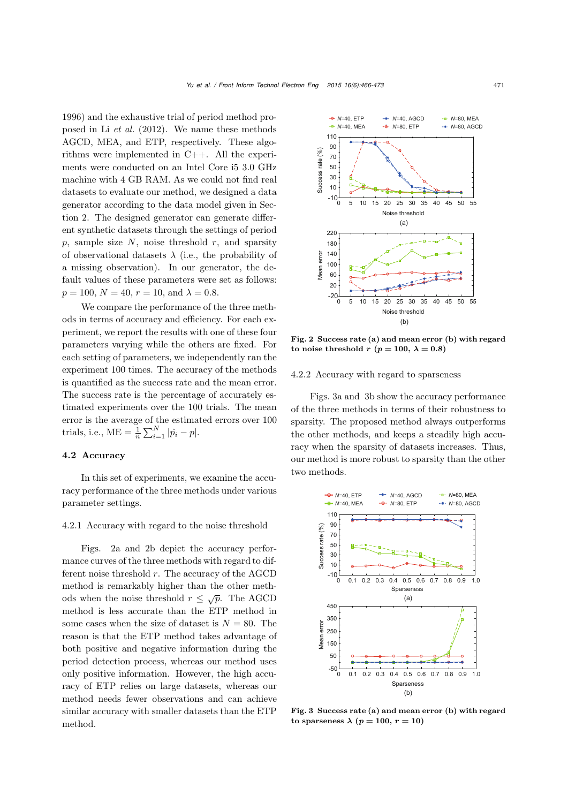[1996](#page-7-10)) and the exhaustive trial of period method proposed in Li *[et al.](#page-7-3)* [\(2012](#page-7-3)). We name these methods AGCD, MEA, and ETP, respectively. These algorithms were implemented in C++. All the experiments were conducted on an Intel Core i5 3.0 GHz machine with 4 GB RAM. As we could not find real datasets to evaluate our method, we designed a data generator according to the data model given in Section 2. The designed generator can generate different synthetic datasets through the settings of period  $p$ , sample size  $N$ , noise threshold  $r$ , and sparsity of observational datasets  $\lambda$  (i.e., the probability of a missing observation). In our generator, the default values of these parameters were set as follows:  $p = 100, N = 40, r = 10, \text{ and } \lambda = 0.8.$ 

We compare the performance of the three methods in terms of accuracy and efficiency. For each experiment, we report the results with one of these four parameters varying while the others are fixed. For each setting of parameters, we independently ran the experiment 100 times. The accuracy of the methods is quantified as the success rate and the mean error. The success rate is the percentage of accurately estimated experiments over the 100 trials. The mean error is the average of the estimated errors over 100 trials, i.e.,  $\text{ME} = \frac{1}{n} \sum_{i=1}^{N} |\hat{p}_i - p|$ .

### 4.2 Accuracy

In this set of experiments, we examine the accuracy performance of the three methods under various parameter settings.

#### 4.2.1 Accuracy with regard to the noise threshold

Figs. [2a](#page-5-0) and [2b](#page-5-0) depict the accuracy performance curves of the three methods with regard to different noise threshold  $r$ . The accuracy of the AGCD method is remarkably higher than the other methods when the noise threshold  $r \leq \sqrt{p}$ . The AGCD method is less accurate than the ETP method in some cases when the size of dataset is  $N = 80$ . The reason is that the ETP method takes advantage of both positive and negative information during the period detection process, whereas our method uses only positive information. However, the high accuracy of ETP relies on large datasets, whereas our method needs fewer observations and can achieve similar accuracy with smaller datasets than the ETP method.



<span id="page-5-0"></span>Fig. 2 Success rate (a) and mean error (b) with regard to noise threshold  $r$  ( $p = 100, \lambda = 0.8$ )

4.2.2 Accuracy with regard to sparseness

Figs. [3a](#page-5-1) and [3b](#page-5-1) show the accuracy performance of the three methods in terms of their robustness to sparsity. The proposed method always outperforms the other methods, and keeps a steadily high accuracy when the sparsity of datasets increases. Thus, our method is more robust to sparsity than the other two methods.



<span id="page-5-1"></span>Fig. 3 Success rate (a) and mean error (b) with regard to sparseness  $\lambda$  ( $p = 100, r = 10$ )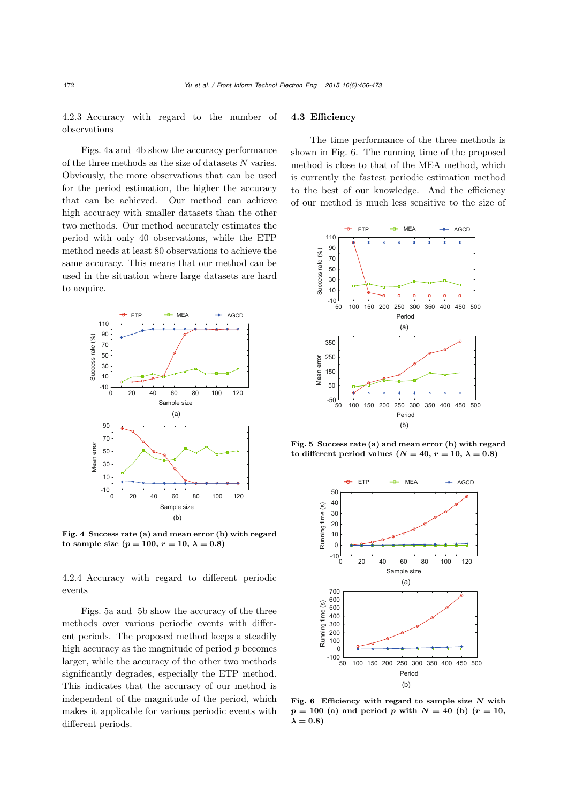4.2.3 Accuracy with regard to the number of observations

# Figs. [4a](#page-6-0) and [4b](#page-6-0) show the accuracy performance of the three methods as the size of datasets N varies. Obviously, the more observations that can be used for the period estimation, the higher the accuracy that can be achieved. Our method can achieve high accuracy with smaller datasets than the other two methods. Our method accurately estimates the period with only 40 observations, while the ETP method needs at least 80 observations to achieve the same accuracy. This means that our method can be used in the situation where large datasets are hard to acquire.



<span id="page-6-0"></span>Fig. 4 Success rate (a) and mean error (b) with regard to sample size  $(p = 100, r = 10, \lambda = 0.8)$ 

4.2.4 Accuracy with regard to different periodic events

Figs. [5a](#page-6-1) and [5b](#page-6-1) show the accuracy of the three methods over various periodic events with different periods. The proposed method keeps a steadily high accuracy as the magnitude of period  $p$  becomes larger, while the accuracy of the other two methods significantly degrades, especially the ETP method. This indicates that the accuracy of our method is independent of the magnitude of the period, which makes it applicable for various periodic events with different periods.

# 4.3 Efficiency

The time performance of the three methods is shown in Fig. [6.](#page-6-2) The running time of the proposed method is close to that of the MEA method, which is currently the fastest periodic estimation method to the best of our knowledge. And the efficiency of our method is much less sensitive to the size of



Fig. 5 Success rate (a) and mean error (b) with regard to different period values ( $N = 40$ ,  $r = 10$ ,  $\lambda = 0.8$ )

<span id="page-6-1"></span>

<span id="page-6-2"></span>Fig. 6 Efficiency with regard to sample size *N* with  $p = 100$  (a) and period *p* with  $N = 40$  (b) ( $r = 10$ ,  $λ = 0.8$ )